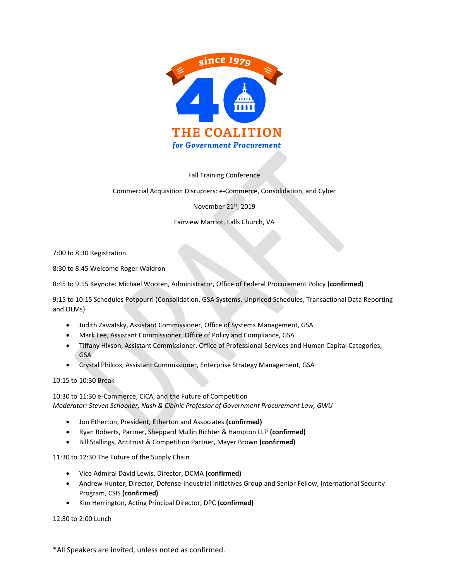

Fall Training Conference

Commercial Acquisition Disrupters: e-Commerce, Consolidation, and Cyber

November 21st, 2019

Fairview Marriot, Falls Church, VA

7:00 to 8:30 Registration

8:30 to 8:45 Welcome Roger Waldron

8:45 to 9:15 Keynote: Michael Wooten, Administrator, Office of Federal Procurement Policy **(confirmed)**

9:15 to 10:15 Schedules Potpourri (Consolidation, GSA Systems, Unpriced Schedules, Transactional Data Reporting and OLMs)

- Judith Zawatsky, Assistant Commissioner, Office of Systems Management, GSA
- Mark Lee, Assistant Commissioner, Office of Policy and Compliance, GSA
- Tiffany Hixson, Assistant Commissioner, Office of Professional Services and Human Capital Categories, GSA
- Crystal Philcox, Assistant Commissioner, Enterprise Strategy Management, GSA

10:15 to 10:30 Break

10:30 to 11:30 e-Commerce, CICA, and the Future of Competition *Moderator: Steven Schooner, Nash & Cibinic Professor of Government Procurement Law, GWU*

- Jon Etherton, President, Etherton and Associates **(confirmed)**
- Ryan Roberts, Partner, Sheppard Mullin Richter & Hampton LLP **(confirmed)**
- Bill Stallings, Antitrust & Competition Partner, Mayer Brown **(confirmed)**

11:30 to 12:30 The Future of the Supply Chain

- Vice Admiral David Lewis, Director, DCMA **(confirmed)**
- Andrew Hunter, Director, Defense-Industrial Initiatives Group and Senior Fellow, International Security Program, CSIS **(confirmed)**
- Kim Herrington, Acting Principal Director, DPC **(confirmed)**

12:30 to 2:00 Lunch

\*All Speakers are invited, unless noted as confirmed.